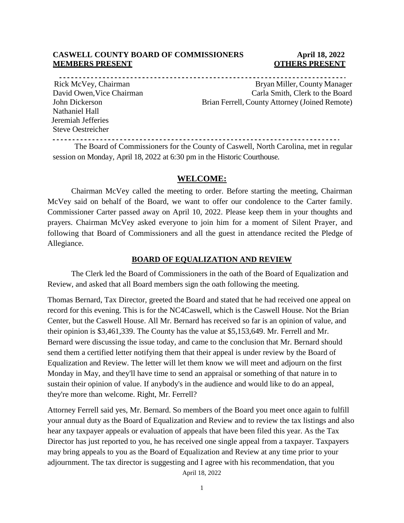#### **CASWELL COUNTY BOARD OF COMMISSIONERS April 18, 2022 MEMBERS PRESENT COTHERS PRESENT**

Nathaniel Hall Jeremiah Jefferies Steve Oestreicher

Rick McVey, Chairman Bryan Miller, County Manager David Owen, Vice Chairman Carla Smith, Clerk to the Board John Dickerson Brian Ferrell, County Attorney (Joined Remote)

The Board of Commissioners for the County of Caswell, North Carolina, met in regular session on Monday, April 18, 2022 at 6:30 pm in the Historic Courthouse.

#### **WELCOME:**

Chairman McVey called the meeting to order. Before starting the meeting, Chairman McVey said on behalf of the Board, we want to offer our condolence to the Carter family. Commissioner Carter passed away on April 10, 2022. Please keep them in your thoughts and prayers. Chairman McVey asked everyone to join him for a moment of Silent Prayer, and following that Board of Commissioners and all the guest in attendance recited the Pledge of Allegiance.

#### **BOARD OF EQUALIZATION AND REVIEW**

The Clerk led the Board of Commissioners in the oath of the Board of Equalization and Review, and asked that all Board members sign the oath following the meeting.

Thomas Bernard, Tax Director, greeted the Board and stated that he had received one appeal on record for this evening. This is for the NC4Caswell, which is the Caswell House. Not the Brian Center, but the Caswell House. All Mr. Bernard has received so far is an opinion of value, and their opinion is \$3,461,339. The County has the value at \$5,153,649. Mr. Ferrell and Mr. Bernard were discussing the issue today, and came to the conclusion that Mr. Bernard should send them a certified letter notifying them that their appeal is under review by the Board of Equalization and Review. The letter will let them know we will meet and adjourn on the first Monday in May, and they'll have time to send an appraisal or something of that nature in to sustain their opinion of value. If anybody's in the audience and would like to do an appeal, they're more than welcome. Right, Mr. Ferrell?

Attorney Ferrell said yes, Mr. Bernard. So members of the Board you meet once again to fulfill your annual duty as the Board of Equalization and Review and to review the tax listings and also hear any taxpayer appeals or evaluation of appeals that have been filed this year. As the Tax Director has just reported to you, he has received one single appeal from a taxpayer. Taxpayers may bring appeals to you as the Board of Equalization and Review at any time prior to your adjournment. The tax director is suggesting and I agree with his recommendation, that you

April 18, 2022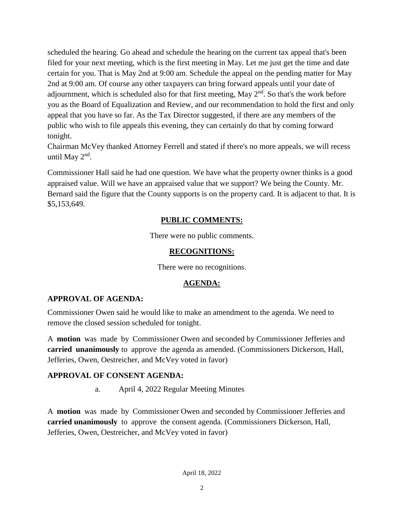scheduled the hearing. Go ahead and schedule the hearing on the current tax appeal that's been filed for your next meeting, which is the first meeting in May. Let me just get the time and date certain for you. That is May 2nd at 9:00 am. Schedule the appeal on the pending matter for May 2nd at 9:00 am. Of course any other taxpayers can bring forward appeals until your date of adjournment, which is scheduled also for that first meeting, May  $2<sup>nd</sup>$ . So that's the work before you as the Board of Equalization and Review, and our recommendation to hold the first and only appeal that you have so far. As the Tax Director suggested, if there are any members of the public who wish to file appeals this evening, they can certainly do that by coming forward tonight.

Chairman McVey thanked Attorney Ferrell and stated if there's no more appeals, we will recess until May  $2<sup>nd</sup>$ .

Commissioner Hall said he had one question. We have what the property owner thinks is a good appraised value. Will we have an appraised value that we support? We being the County. Mr. Bernard said the figure that the County supports is on the property card. It is adjacent to that. It is \$5,153,649.

#### **PUBLIC COMMENTS:**

There were no public comments.

#### **RECOGNITIONS:**

There were no recognitions.

#### **AGENDA:**

#### **APPROVAL OF AGENDA:**

Commissioner Owen said he would like to make an amendment to the agenda. We need to remove the closed session scheduled for tonight.

A **motion** was made by Commissioner Owen and seconded by Commissioner Jefferies and **carried unanimously** to approve the agenda as amended. (Commissioners Dickerson, Hall, Jefferies, Owen, Oestreicher, and McVey voted in favor)

#### **APPROVAL OF CONSENT AGENDA:**

a. April 4, 2022 Regular Meeting Minutes

A **motion** was made by Commissioner Owen and seconded by Commissioner Jefferies and **carried unanimously** to approve the consent agenda. (Commissioners Dickerson, Hall, Jefferies, Owen, Oestreicher, and McVey voted in favor)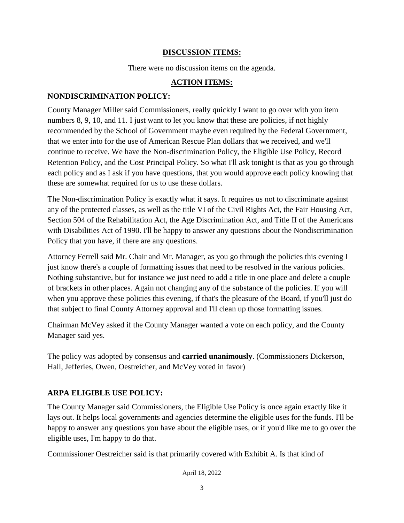#### **DISCUSSION ITEMS:**

There were no discussion items on the agenda.

#### **ACTION ITEMS:**

#### **NONDISCRIMINATION POLICY:**

County Manager Miller said Commissioners, really quickly I want to go over with you item numbers 8, 9, 10, and 11. I just want to let you know that these are policies, if not highly recommended by the School of Government maybe even required by the Federal Government, that we enter into for the use of American Rescue Plan dollars that we received, and we'll continue to receive. We have the Non-discrimination Policy, the Eligible Use Policy, Record Retention Policy, and the Cost Principal Policy. So what I'll ask tonight is that as you go through each policy and as I ask if you have questions, that you would approve each policy knowing that these are somewhat required for us to use these dollars.

The Non-discrimination Policy is exactly what it says. It requires us not to discriminate against any of the protected classes, as well as the title VI of the Civil Rights Act, the Fair Housing Act, Section 504 of the Rehabilitation Act, the Age Discrimination Act, and Title II of the Americans with Disabilities Act of 1990. I'll be happy to answer any questions about the Nondiscrimination Policy that you have, if there are any questions.

Attorney Ferrell said Mr. Chair and Mr. Manager, as you go through the policies this evening I just know there's a couple of formatting issues that need to be resolved in the various policies. Nothing substantive, but for instance we just need to add a title in one place and delete a couple of brackets in other places. Again not changing any of the substance of the policies. If you will when you approve these policies this evening, if that's the pleasure of the Board, if you'll just do that subject to final County Attorney approval and I'll clean up those formatting issues.

Chairman McVey asked if the County Manager wanted a vote on each policy, and the County Manager said yes.

The policy was adopted by consensus and **carried unanimously**. (Commissioners Dickerson, Hall, Jefferies, Owen, Oestreicher, and McVey voted in favor)

#### **ARPA ELIGIBLE USE POLICY:**

The County Manager said Commissioners, the Eligible Use Policy is once again exactly like it lays out. It helps local governments and agencies determine the eligible uses for the funds. I'll be happy to answer any questions you have about the eligible uses, or if you'd like me to go over the eligible uses, I'm happy to do that.

Commissioner Oestreicher said is that primarily covered with Exhibit A. Is that kind of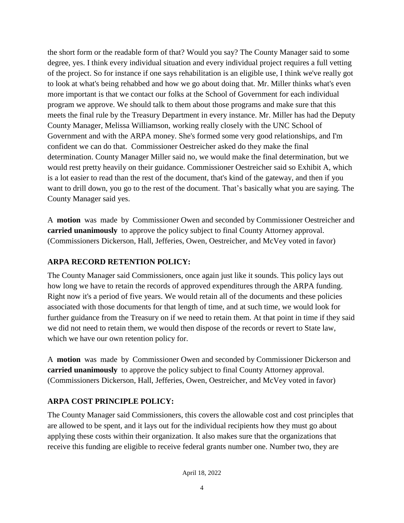the short form or the readable form of that? Would you say? The County Manager said to some degree, yes. I think every individual situation and every individual project requires a full vetting of the project. So for instance if one says rehabilitation is an eligible use, I think we've really got to look at what's being rehabbed and how we go about doing that. Mr. Miller thinks what's even more important is that we contact our folks at the School of Government for each individual program we approve. We should talk to them about those programs and make sure that this meets the final rule by the Treasury Department in every instance. Mr. Miller has had the Deputy County Manager, Melissa Williamson, working really closely with the UNC School of Government and with the ARPA money. She's formed some very good relationships, and I'm confident we can do that. Commissioner Oestreicher asked do they make the final determination. County Manager Miller said no, we would make the final determination, but we would rest pretty heavily on their guidance. Commissioner Oestreicher said so Exhibit A, which is a lot easier to read than the rest of the document, that's kind of the gateway, and then if you want to drill down, you go to the rest of the document. That's basically what you are saying. The County Manager said yes.

A **motion** was made by Commissioner Owen and seconded by Commissioner Oestreicher and **carried unanimously** to approve the policy subject to final County Attorney approval. (Commissioners Dickerson, Hall, Jefferies, Owen, Oestreicher, and McVey voted in favor)

### **ARPA RECORD RETENTION POLICY:**

The County Manager said Commissioners, once again just like it sounds. This policy lays out how long we have to retain the records of approved expenditures through the ARPA funding. Right now it's a period of five years. We would retain all of the documents and these policies associated with those documents for that length of time, and at such time, we would look for further guidance from the Treasury on if we need to retain them. At that point in time if they said we did not need to retain them, we would then dispose of the records or revert to State law, which we have our own retention policy for.

A **motion** was made by Commissioner Owen and seconded by Commissioner Dickerson and **carried unanimously** to approve the policy subject to final County Attorney approval. (Commissioners Dickerson, Hall, Jefferies, Owen, Oestreicher, and McVey voted in favor)

### **ARPA COST PRINCIPLE POLICY:**

The County Manager said Commissioners, this covers the allowable cost and cost principles that are allowed to be spent, and it lays out for the individual recipients how they must go about applying these costs within their organization. It also makes sure that the organizations that receive this funding are eligible to receive federal grants number one. Number two, they are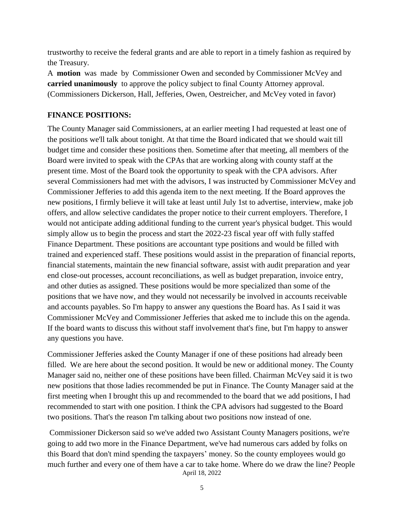trustworthy to receive the federal grants and are able to report in a timely fashion as required by the Treasury.

A **motion** was made by Commissioner Owen and seconded by Commissioner McVey and **carried unanimously** to approve the policy subject to final County Attorney approval. (Commissioners Dickerson, Hall, Jefferies, Owen, Oestreicher, and McVey voted in favor)

#### **FINANCE POSITIONS:**

The County Manager said Commissioners, at an earlier meeting I had requested at least one of the positions we'll talk about tonight. At that time the Board indicated that we should wait till budget time and consider these positions then. Sometime after that meeting, all members of the Board were invited to speak with the CPAs that are working along with county staff at the present time. Most of the Board took the opportunity to speak with the CPA advisors. After several Commissioners had met with the advisors, I was instructed by Commissioner McVey and Commissioner Jefferies to add this agenda item to the next meeting. If the Board approves the new positions, I firmly believe it will take at least until July 1st to advertise, interview, make job offers, and allow selective candidates the proper notice to their current employers. Therefore, I would not anticipate adding additional funding to the current year's physical budget. This would simply allow us to begin the process and start the 2022-23 fiscal year off with fully staffed Finance Department. These positions are accountant type positions and would be filled with trained and experienced staff. These positions would assist in the preparation of financial reports, financial statements, maintain the new financial software, assist with audit preparation and year end close-out processes, account reconciliations, as well as budget preparation, invoice entry, and other duties as assigned. These positions would be more specialized than some of the positions that we have now, and they would not necessarily be involved in accounts receivable and accounts payables. So I'm happy to answer any questions the Board has. As I said it was Commissioner McVey and Commissioner Jefferies that asked me to include this on the agenda. If the board wants to discuss this without staff involvement that's fine, but I'm happy to answer any questions you have.

Commissioner Jefferies asked the County Manager if one of these positions had already been filled. We are here about the second position. It would be new or additional money. The County Manager said no, neither one of these positions have been filled. Chairman McVey said it is two new positions that those ladies recommended be put in Finance. The County Manager said at the first meeting when I brought this up and recommended to the board that we add positions, I had recommended to start with one position. I think the CPA advisors had suggested to the Board two positions. That's the reason I'm talking about two positions now instead of one.

April 18, 2022 Commissioner Dickerson said so we've added two Assistant County Managers positions, we're going to add two more in the Finance Department, we've had numerous cars added by folks on this Board that don't mind spending the taxpayers' money. So the county employees would go much further and every one of them have a car to take home. Where do we draw the line? People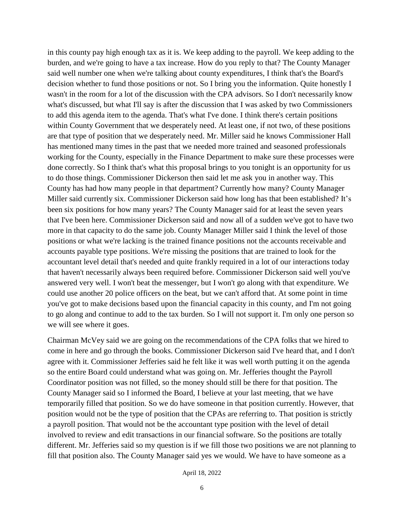in this county pay high enough tax as it is. We keep adding to the payroll. We keep adding to the burden, and we're going to have a tax increase. How do you reply to that? The County Manager said well number one when we're talking about county expenditures, I think that's the Board's decision whether to fund those positions or not. So I bring you the information. Quite honestly I wasn't in the room for a lot of the discussion with the CPA advisors. So I don't necessarily know what's discussed, but what I'll say is after the discussion that I was asked by two Commissioners to add this agenda item to the agenda. That's what I've done. I think there's certain positions within County Government that we desperately need. At least one, if not two, of these positions are that type of position that we desperately need. Mr. Miller said he knows Commissioner Hall has mentioned many times in the past that we needed more trained and seasoned professionals working for the County, especially in the Finance Department to make sure these processes were done correctly. So I think that's what this proposal brings to you tonight is an opportunity for us to do those things. Commissioner Dickerson then said let me ask you in another way. This County has had how many people in that department? Currently how many? County Manager Miller said currently six. Commissioner Dickerson said how long has that been established? It's been six positions for how many years? The County Manager said for at least the seven years that I've been here. Commissioner Dickerson said and now all of a sudden we've got to have two more in that capacity to do the same job. County Manager Miller said I think the level of those positions or what we're lacking is the trained finance positions not the accounts receivable and accounts payable type positions. We're missing the positions that are trained to look for the accountant level detail that's needed and quite frankly required in a lot of our interactions today that haven't necessarily always been required before. Commissioner Dickerson said well you've answered very well. I won't beat the messenger, but I won't go along with that expenditure. We could use another 20 police officers on the beat, but we can't afford that. At some point in time you've got to make decisions based upon the financial capacity in this county, and I'm not going to go along and continue to add to the tax burden. So I will not support it. I'm only one person so we will see where it goes.

Chairman McVey said we are going on the recommendations of the CPA folks that we hired to come in here and go through the books. Commissioner Dickerson said I've heard that, and I don't agree with it. Commissioner Jefferies said he felt like it was well worth putting it on the agenda so the entire Board could understand what was going on. Mr. Jefferies thought the Payroll Coordinator position was not filled, so the money should still be there for that position. The County Manager said so I informed the Board, I believe at your last meeting, that we have temporarily filled that position. So we do have someone in that position currently. However, that position would not be the type of position that the CPAs are referring to. That position is strictly a payroll position. That would not be the accountant type position with the level of detail involved to review and edit transactions in our financial software. So the positions are totally different. Mr. Jefferies said so my question is if we fill those two positions we are not planning to fill that position also. The County Manager said yes we would. We have to have someone as a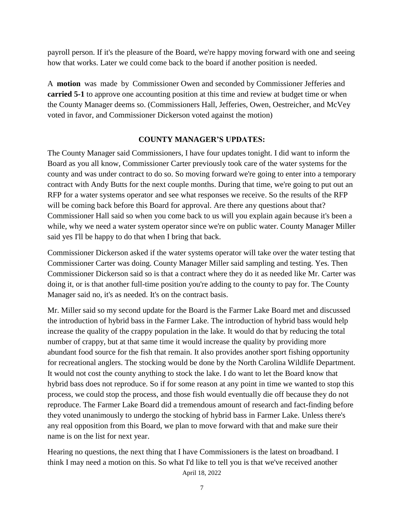payroll person. If it's the pleasure of the Board, we're happy moving forward with one and seeing how that works. Later we could come back to the board if another position is needed.

A **motion** was made by Commissioner Owen and seconded by Commissioner Jefferies and **carried 5-1** to approve one accounting position at this time and review at budget time or when the County Manager deems so. (Commissioners Hall, Jefferies, Owen, Oestreicher, and McVey voted in favor, and Commissioner Dickerson voted against the motion)

#### **COUNTY MANAGER'S UPDATES:**

The County Manager said Commissioners, I have four updates tonight. I did want to inform the Board as you all know, Commissioner Carter previously took care of the water systems for the county and was under contract to do so. So moving forward we're going to enter into a temporary contract with Andy Butts for the next couple months. During that time, we're going to put out an RFP for a water systems operator and see what responses we receive. So the results of the RFP will be coming back before this Board for approval. Are there any questions about that? Commissioner Hall said so when you come back to us will you explain again because it's been a while, why we need a water system operator since we're on public water. County Manager Miller said yes I'll be happy to do that when I bring that back.

Commissioner Dickerson asked if the water systems operator will take over the water testing that Commissioner Carter was doing. County Manager Miller said sampling and testing. Yes. Then Commissioner Dickerson said so is that a contract where they do it as needed like Mr. Carter was doing it, or is that another full-time position you're adding to the county to pay for. The County Manager said no, it's as needed. It's on the contract basis.

Mr. Miller said so my second update for the Board is the Farmer Lake Board met and discussed the introduction of hybrid bass in the Farmer Lake. The introduction of hybrid bass would help increase the quality of the crappy population in the lake. It would do that by reducing the total number of crappy, but at that same time it would increase the quality by providing more abundant food source for the fish that remain. It also provides another sport fishing opportunity for recreational anglers. The stocking would be done by the North Carolina Wildlife Department. It would not cost the county anything to stock the lake. I do want to let the Board know that hybrid bass does not reproduce. So if for some reason at any point in time we wanted to stop this process, we could stop the process, and those fish would eventually die off because they do not reproduce. The Farmer Lake Board did a tremendous amount of research and fact-finding before they voted unanimously to undergo the stocking of hybrid bass in Farmer Lake. Unless there's any real opposition from this Board, we plan to move forward with that and make sure their name is on the list for next year.

April 18, 2022 Hearing no questions, the next thing that I have Commissioners is the latest on broadband. I think I may need a motion on this. So what I'd like to tell you is that we've received another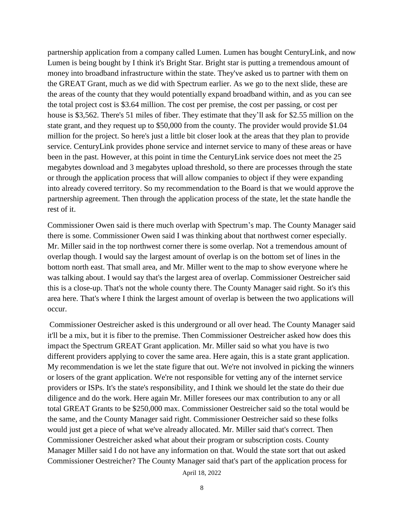partnership application from a company called Lumen. Lumen has bought CenturyLink, and now Lumen is being bought by I think it's Bright Star. Bright star is putting a tremendous amount of money into broadband infrastructure within the state. They've asked us to partner with them on the GREAT Grant, much as we did with Spectrum earlier. As we go to the next slide, these are the areas of the county that they would potentially expand broadband within, and as you can see the total project cost is \$3.64 million. The cost per premise, the cost per passing, or cost per house is \$3,562. There's 51 miles of fiber. They estimate that they'll ask for \$2.55 million on the state grant, and they request up to \$50,000 from the county. The provider would provide \$1.04 million for the project. So here's just a little bit closer look at the areas that they plan to provide service. CenturyLink provides phone service and internet service to many of these areas or have been in the past. However, at this point in time the CenturyLink service does not meet the 25 megabytes download and 3 megabytes upload threshold, so there are processes through the state or through the application process that will allow companies to object if they were expanding into already covered territory. So my recommendation to the Board is that we would approve the partnership agreement. Then through the application process of the state, let the state handle the rest of it.

Commissioner Owen said is there much overlap with Spectrum's map. The County Manager said there is some. Commissioner Owen said I was thinking about that northwest corner especially. Mr. Miller said in the top northwest corner there is some overlap. Not a tremendous amount of overlap though. I would say the largest amount of overlap is on the bottom set of lines in the bottom north east. That small area, and Mr. Miller went to the map to show everyone where he was talking about. I would say that's the largest area of overlap. Commissioner Oestreicher said this is a close-up. That's not the whole county there. The County Manager said right. So it's this area here. That's where I think the largest amount of overlap is between the two applications will occur.

Commissioner Oestreicher asked is this underground or all over head. The County Manager said it'll be a mix, but it is fiber to the premise. Then Commissioner Oestreicher asked how does this impact the Spectrum GREAT Grant application. Mr. Miller said so what you have is two different providers applying to cover the same area. Here again, this is a state grant application. My recommendation is we let the state figure that out. We're not involved in picking the winners or losers of the grant application. We're not responsible for vetting any of the internet service providers or ISPs. It's the state's responsibility, and I think we should let the state do their due diligence and do the work. Here again Mr. Miller foresees our max contribution to any or all total GREAT Grants to be \$250,000 max. Commissioner Oestreicher said so the total would be the same, and the County Manager said right. Commissioner Oestreicher said so these folks would just get a piece of what we've already allocated. Mr. Miller said that's correct. Then Commissioner Oestreicher asked what about their program or subscription costs. County Manager Miller said I do not have any information on that. Would the state sort that out asked Commissioner Oestreicher? The County Manager said that's part of the application process for

April 18, 2022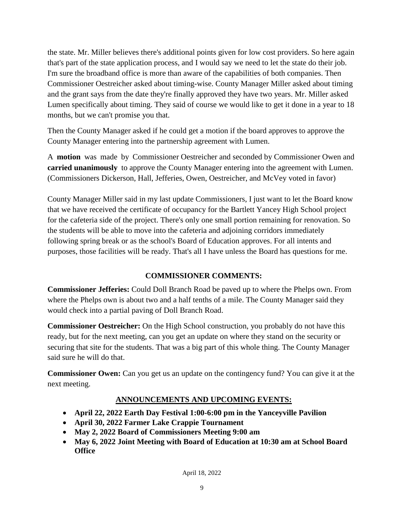the state. Mr. Miller believes there's additional points given for low cost providers. So here again that's part of the state application process, and I would say we need to let the state do their job. I'm sure the broadband office is more than aware of the capabilities of both companies. Then Commissioner Oestreicher asked about timing-wise. County Manager Miller asked about timing and the grant says from the date they're finally approved they have two years. Mr. Miller asked Lumen specifically about timing. They said of course we would like to get it done in a year to 18 months, but we can't promise you that.

Then the County Manager asked if he could get a motion if the board approves to approve the County Manager entering into the partnership agreement with Lumen.

A **motion** was made by Commissioner Oestreicher and seconded by Commissioner Owen and **carried unanimously** to approve the County Manager entering into the agreement with Lumen. (Commissioners Dickerson, Hall, Jefferies, Owen, Oestreicher, and McVey voted in favor)

County Manager Miller said in my last update Commissioners, I just want to let the Board know that we have received the certificate of occupancy for the Bartlett Yancey High School project for the cafeteria side of the project. There's only one small portion remaining for renovation. So the students will be able to move into the cafeteria and adjoining corridors immediately following spring break or as the school's Board of Education approves. For all intents and purposes, those facilities will be ready. That's all I have unless the Board has questions for me.

### **COMMISSIONER COMMENTS:**

**Commissioner Jefferies:** Could Doll Branch Road be paved up to where the Phelps own. From where the Phelps own is about two and a half tenths of a mile. The County Manager said they would check into a partial paving of Doll Branch Road.

**Commissioner Oestreicher:** On the High School construction, you probably do not have this ready, but for the next meeting, can you get an update on where they stand on the security or securing that site for the students. That was a big part of this whole thing. The County Manager said sure he will do that.

**Commissioner Owen:** Can you get us an update on the contingency fund? You can give it at the next meeting.

### **ANNOUNCEMENTS AND UPCOMING EVENTS:**

- **April 22, 2022 Earth Day Festival 1:00-6:00 pm in the Yanceyville Pavilion**
- **April 30, 2022 Farmer Lake Crappie Tournament**
- **May 2, 2022 Board of Commissioners Meeting 9:00 am**
- **May 6, 2022 Joint Meeting with Board of Education at 10:30 am at School Board Office**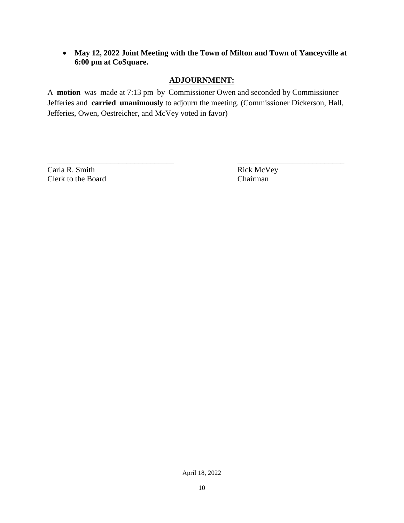**May 12, 2022 Joint Meeting with the Town of Milton and Town of Yanceyville at 6:00 pm at CoSquare.**

#### **ADJOURNMENT:**

A **motion** was made at 7:13 pm by Commissioner Owen and seconded by Commissioner Jefferies and **carried unanimously** to adjourn the meeting. (Commissioner Dickerson, Hall, Jefferies, Owen, Oestreicher, and McVey voted in favor)

Carla R. Smith Rick McVey<br>
Clerk to the Board Chairman Clerk to the Board

\_\_\_\_\_\_\_\_\_\_\_\_\_\_\_\_\_\_\_\_\_\_\_\_\_\_\_\_\_\_\_\_ \_\_\_\_\_\_\_\_\_\_\_\_\_\_\_\_\_\_\_\_\_\_\_\_\_\_\_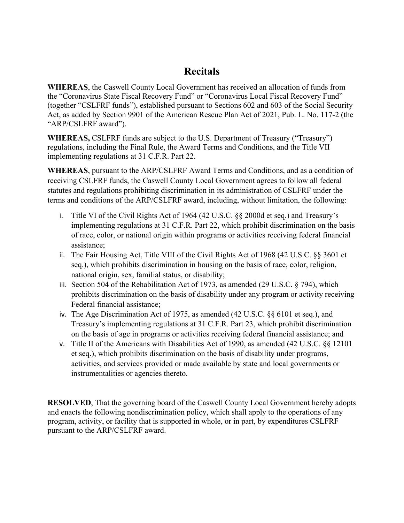# **Recitals**

**WHEREAS**, the Caswell County Local Government has received an allocation of funds from the "Coronavirus State Fiscal Recovery Fund" or "Coronavirus Local Fiscal Recovery Fund" (together "CSLFRF funds"), established pursuant to Sections 602 and 603 of the Social Security Act, as added by Section 9901 of the American Rescue Plan Act of 2021, Pub. L. No. 117-2 (the "ARP/CSLFRF award").

**WHEREAS,** CSLFRF funds are subject to the U.S. Department of Treasury ("Treasury") regulations, including the Final Rule, the Award Terms and Conditions, and the Title VII implementing regulations at 31 C.F.R. Part 22.

**WHEREAS**, pursuant to the ARP/CSLFRF Award Terms and Conditions, and as a condition of receiving CSLFRF funds, the Caswell County Local Government agrees to follow all federal statutes and regulations prohibiting discrimination in its administration of CSLFRF under the terms and conditions of the ARP/CSLFRF award, including, without limitation, the following:

- i. Title VI of the Civil Rights Act of 1964 (42 U.S.C. §§ 2000d et seq.) and Treasury's implementing regulations at 31 C.F.R. Part 22, which prohibit discrimination on the basis of race, color, or national origin within programs or activities receiving federal financial assistance;
- ii. The Fair Housing Act, Title VIII of the Civil Rights Act of 1968 (42 U.S.C. §§ 3601 et seq.), which prohibits discrimination in housing on the basis of race, color, religion, national origin, sex, familial status, or disability;
- iii. Section 504 of the Rehabilitation Act of 1973, as amended (29 U.S.C. § 794), which prohibits discrimination on the basis of disability under any program or activity receiving Federal financial assistance;
- iv. The Age Discrimination Act of 1975, as amended (42 U.S.C. §§ 6101 et seq.), and Treasury's implementing regulations at 31 C.F.R. Part 23, which prohibit discrimination on the basis of age in programs or activities receiving federal financial assistance; and
- v. Title II of the Americans with Disabilities Act of 1990, as amended (42 U.S.C. §§ 12101 et seq.), which prohibits discrimination on the basis of disability under programs, activities, and services provided or made available by state and local governments or instrumentalities or agencies thereto.

**RESOLVED**, That the governing board of the Caswell County Local Government hereby adopts and enacts the following nondiscrimination policy, which shall apply to the operations of any program, activity, or facility that is supported in whole, or in part, by expenditures CSLFRF pursuant to the ARP/CSLFRF award.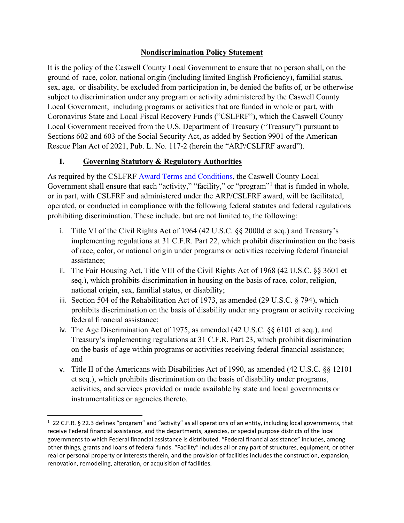#### **Nondiscrimination Policy Statement**

It is the policy of the Caswell County Local Government to ensure that no person shall, on the ground of race, color, national origin (including limited English Proficiency), familial status, sex, age, or disability, be excluded from participation in, be denied the befits of, or be otherwise subject to discrimination under any program or activity administered by the Caswell County Local Government, including programs or activities that are funded in whole or part, with Coronavirus State and Local Fiscal Recovery Funds ("CSLFRF"), which the Caswell County Local Government received from the U.S. Department of Treasury ("Treasury") pursuant to Sections 602 and 603 of the Social Security Act, as added by Section 9901 of the American Rescue Plan Act of 2021, Pub. L. No. 117-2 (herein the "ARP/CSLFRF award").

### **I. Governing Statutory & Regulatory Authorities**

l

As required by the CSLFRF [Award Terms and Conditions,](https://home.treasury.gov/system/files/136/NEU_Award_Terms_and_Conditions.pdf) the Caswell County Local Government shall ensure that each "activity," "facility," or "program"<sup>[1](#page-11-0)</sup> that is funded in whole, or in part, with CSLFRF and administered under the ARP/CSLFRF award, will be facilitated, operated, or conducted in compliance with the following federal statutes and federal regulations prohibiting discrimination. These include, but are not limited to, the following:

- i. Title VI of the Civil Rights Act of 1964 (42 U.S.C. §§ 2000d et seq.) and Treasury's implementing regulations at 31 C.F.R. Part 22, which prohibit discrimination on the basis of race, color, or national origin under programs or activities receiving federal financial assistance;
- ii. The Fair Housing Act, Title VIII of the Civil Rights Act of 1968 (42 U.S.C. §§ 3601 et seq.), which prohibits discrimination in housing on the basis of race, color, religion, national origin, sex, familial status, or disability;
- iii. Section 504 of the Rehabilitation Act of 1973, as amended (29 U.S.C. § 794), which prohibits discrimination on the basis of disability under any program or activity receiving federal financial assistance;
- iv. The Age Discrimination Act of 1975, as amended (42 U.S.C. §§ 6101 et seq.), and Treasury's implementing regulations at 31 C.F.R. Part 23, which prohibit discrimination on the basis of age within programs or activities receiving federal financial assistance; and
- v. Title II of the Americans with Disabilities Act of 1990, as amended (42 U.S.C. §§ 12101 et seq.), which prohibits discrimination on the basis of disability under programs, activities, and services provided or made available by state and local governments or instrumentalities or agencies thereto.

<span id="page-11-0"></span><sup>&</sup>lt;sup>1</sup> 22 C.F.R. § 22.3 defines "program" and "activity" as all operations of an entity, including local governments, that receive Federal financial assistance, and the departments, agencies, or special purpose districts of the local governments to which Federal financial assistance is distributed. "Federal financial assistance" includes, among other things, grants and loans of federal funds. "Facility" includes all or any part of structures, equipment, or other real or personal property or interests therein, and the provision of facilities includes the construction, expansion, renovation, remodeling, alteration, or acquisition of facilities.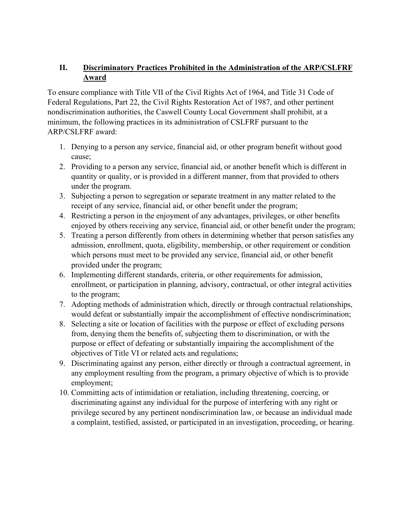### **II. Discriminatory Practices Prohibited in the Administration of the ARP/CSLFRF Award**

To ensure compliance with Title VII of the Civil Rights Act of 1964, and Title 31 Code of Federal Regulations, Part 22, the Civil Rights Restoration Act of 1987, and other pertinent nondiscrimination authorities, the Caswell County Local Government shall prohibit, at a minimum, the following practices in its administration of CSLFRF pursuant to the ARP/CSLFRF award:

- 1. Denying to a person any service, financial aid, or other program benefit without good cause;
- 2. Providing to a person any service, financial aid, or another benefit which is different in quantity or quality, or is provided in a different manner, from that provided to others under the program.
- 3. Subjecting a person to segregation or separate treatment in any matter related to the receipt of any service, financial aid, or other benefit under the program;
- 4. Restricting a person in the enjoyment of any advantages, privileges, or other benefits enjoyed by others receiving any service, financial aid, or other benefit under the program;
- 5. Treating a person differently from others in determining whether that person satisfies any admission, enrollment, quota, eligibility, membership, or other requirement or condition which persons must meet to be provided any service, financial aid, or other benefit provided under the program;
- 6. Implementing different standards, criteria, or other requirements for admission, enrollment, or participation in planning, advisory, contractual, or other integral activities to the program;
- 7. Adopting methods of administration which, directly or through contractual relationships, would defeat or substantially impair the accomplishment of effective nondiscrimination;
- 8. Selecting a site or location of facilities with the purpose or effect of excluding persons from, denying them the benefits of, subjecting them to discrimination, or with the purpose or effect of defeating or substantially impairing the accomplishment of the objectives of Title VI or related acts and regulations;
- 9. Discriminating against any person, either directly or through a contractual agreement, in any employment resulting from the program, a primary objective of which is to provide employment;
- 10. Committing acts of intimidation or retaliation, including threatening, coercing, or discriminating against any individual for the purpose of interfering with any right or privilege secured by any pertinent nondiscrimination law, or because an individual made a complaint, testified, assisted, or participated in an investigation, proceeding, or hearing.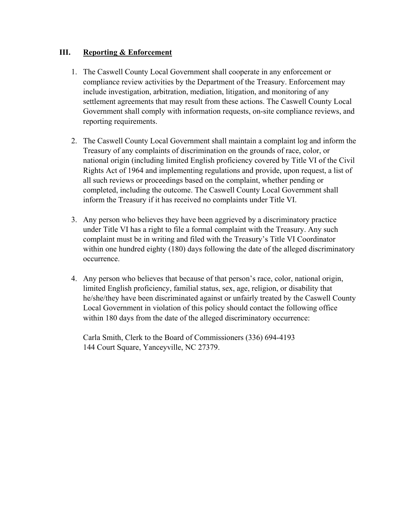#### **III. Reporting & Enforcement**

- 1. The Caswell County Local Government shall cooperate in any enforcement or compliance review activities by the Department of the Treasury. Enforcement may include investigation, arbitration, mediation, litigation, and monitoring of any settlement agreements that may result from these actions. The Caswell County Local Government shall comply with information requests, on-site compliance reviews, and reporting requirements.
- 2. The Caswell County Local Government shall maintain a complaint log and inform the Treasury of any complaints of discrimination on the grounds of race, color, or national origin (including limited English proficiency covered by Title VI of the Civil Rights Act of 1964 and implementing regulations and provide, upon request, a list of all such reviews or proceedings based on the complaint, whether pending or completed, including the outcome. The Caswell County Local Government shall inform the Treasury if it has received no complaints under Title VI.
- 3. Any person who believes they have been aggrieved by a discriminatory practice under Title VI has a right to file a formal complaint with the Treasury. Any such complaint must be in writing and filed with the Treasury's Title VI Coordinator within one hundred eighty (180) days following the date of the alleged discriminatory occurrence.
- 4. Any person who believes that because of that person's race, color, national origin, limited English proficiency, familial status, sex, age, religion, or disability that he/she/they have been discriminated against or unfairly treated by the Caswell County Local Government in violation of this policy should contact the following office within 180 days from the date of the alleged discriminatory occurrence:

Carla Smith, Clerk to the Board of Commissioners (336) 694-4193 144 Court Square, Yanceyville, NC 27379.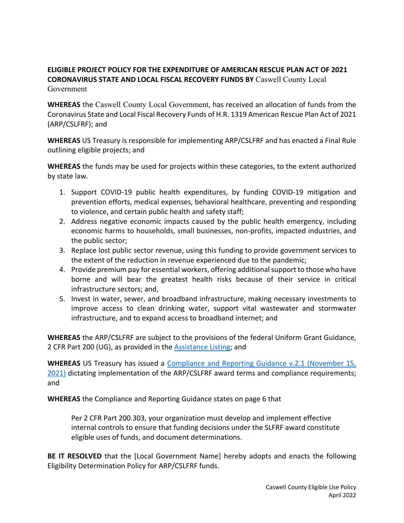#### **ELIGIBLE PROJECT POLICY FOR THE EXPENDITURE OF AMERICAN RESCUE PLAN ACT OF 2021 CORONAVIRUS STATE AND LOCAL FISCAL RECOVERY FUNDS BY** Caswell County Local Government

**WHEREAS** the Caswell County Local Government, has received an allocation of funds from the Coronavirus State and Local Fiscal Recovery Funds of H.R. 1319 American Rescue Plan Act of 2021 (ARP/CSLFRF); and

**WHEREAS** US Treasury is responsible for implementing ARP/CSLFRF and has enacted a Final Rule outlining eligible projects; and

**WHEREAS** the funds may be used for projects within these categories, to the extent authorized by state law.

- 1. Support COVID-19 public health expenditures, by funding COVID-19 mitigation and prevention efforts, medical expenses, behavioral healthcare, preventing and responding to violence, and certain public health and safety staff;
- 2. Address negative economic impacts caused by the public health emergency, including economic harms to households, small businesses, non-profits, impacted industries, and the public sector;
- 3. Replace lost public sector revenue, using this funding to provide government services to the extent of the reduction in revenue experienced due to the pandemic;
- 4. Provide premium pay for essential workers, offering additional support to those who have borne and will bear the greatest health risks because of their service in critical infrastructure sectors; and,
- 5. Invest in water, sewer, and broadband infrastructure, making necessary investments to improve access to clean drinking water, support vital wastewater and stormwater infrastructure, and to expand access to broadband internet; and

**WHEREAS** the ARP/CSLFRF are subject to the provisions of the federal Uniform Grant Guidance, 2 CFR Part 200 (UG), as provided in the [Assistance Listing;](https://sam.gov/fal/7cecfdef62dc42729a3fdcd449bd62b8/view) and

**WHEREAS** US Treasury has issued a [Compliance and Reporting Guidance v.2.1 \(November 15,](https://home.treasury.gov/system/files/136/SLFRF-Compliance-and-Reporting-Guidance.pdf)  [2021\)](https://home.treasury.gov/system/files/136/SLFRF-Compliance-and-Reporting-Guidance.pdf) dictating implementation of the ARP/CSLFRF award terms and compliance requirements; and

**WHEREAS** the Compliance and Reporting Guidance states on page 6 that

Per 2 CFR Part 200.303, your organization must develop and implement effective internal controls to ensure that funding decisions under the SLFRF award constitute eligible uses of funds, and document determinations.

**BE IT RESOLVED** that the [Local Government Name] hereby adopts and enacts the following Eligibility Determination Policy for ARP/CSLFRF funds.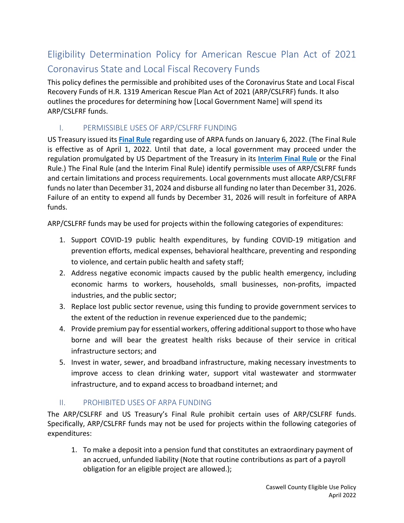# Eligibility Determination Policy for American Rescue Plan Act of 2021 Coronavirus State and Local Fiscal Recovery Funds

This policy defines the permissible and prohibited uses of the Coronavirus State and Local Fiscal Recovery Funds of H.R. 1319 American Rescue Plan Act of 2021 (ARP/CSLFRF) funds. It also outlines the procedures for determining how [Local Government Name] will spend its ARP/CSLFRF funds.

## I. PERMISSIBLE USES OF ARP/CSLFRF FUNDING

US Treasury issued its **[Final Rule](https://home.treasury.gov/system/files/136/SLFRF-Final-Rule.pdf)** regarding use of ARPA funds on January 6, 2022. (The Final Rule is effective as of April 1, 2022. Until that date, a local government may proceed under the regulation promulgated by US Department of the Treasury in its **[Interim Final Rule](https://www.govinfo.gov/content/pkg/FR-2021-05-17/pdf/2021-10283.pdf)** or the Final Rule.) The Final Rule (and the Interim Final Rule) identify permissible uses of ARP/CSLFRF funds and certain limitations and process requirements. Local governments must allocate ARP/CSLFRF funds no later than December 31, 2024 and disburse all funding no later than December 31, 2026. Failure of an entity to expend all funds by December 31, 2026 will result in forfeiture of ARPA funds.

ARP/CSLFRF funds may be used for projects within the following categories of expenditures:

- 1. Support COVID-19 public health expenditures, by funding COVID-19 mitigation and prevention efforts, medical expenses, behavioral healthcare, preventing and responding to violence, and certain public health and safety staff;
- 2. Address negative economic impacts caused by the public health emergency, including economic harms to workers, households, small businesses, non-profits, impacted industries, and the public sector;
- 3. Replace lost public sector revenue, using this funding to provide government services to the extent of the reduction in revenue experienced due to the pandemic;
- 4. Provide premium pay for essential workers, offering additional support to those who have borne and will bear the greatest health risks because of their service in critical infrastructure sectors; and
- 5. Invest in water, sewer, and broadband infrastructure, making necessary investments to improve access to clean drinking water, support vital wastewater and stormwater infrastructure, and to expand access to broadband internet; and

### II. PROHIBITED USES OF ARPA FUNDING

The ARP/CSLFRF and US Treasury's Final Rule prohibit certain uses of ARP/CSLFRF funds. Specifically, ARP/CSLFRF funds may not be used for projects within the following categories of expenditures:

1. To make a deposit into a pension fund that constitutes an extraordinary payment of an accrued, unfunded liability (Note that routine contributions as part of a payroll obligation for an eligible project are allowed.);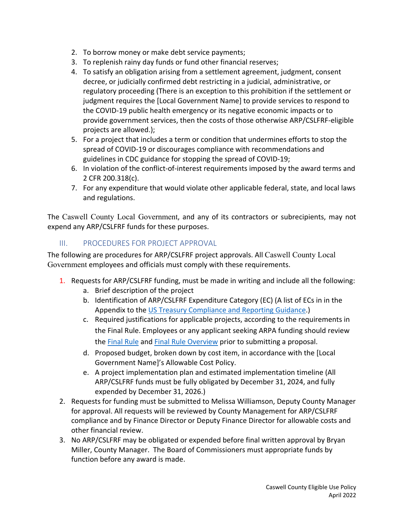- 2. To borrow money or make debt service payments;
- 3. To replenish rainy day funds or fund other financial reserves;
- 4. To satisfy an obligation arising from a settlement agreement, judgment, consent decree, or judicially confirmed debt restricting in a judicial, administrative, or regulatory proceeding (There is an exception to this prohibition if the settlement or judgment requires the [Local Government Name] to provide services to respond to the COVID-19 public health emergency or its negative economic impacts or to provide government services, then the costs of those otherwise ARP/CSLFRF-eligible projects are allowed.);
- 5. For a project that includes a term or condition that undermines efforts to stop the spread of COVID-19 or discourages compliance with recommendations and guidelines in CDC guidance for stopping the spread of COVID-19;
- 6. In violation of the conflict-of-interest requirements imposed by the award terms and 2 CFR 200.318(c).
- 7. For any expenditure that would violate other applicable federal, state, and local laws and regulations.

The Caswell County Local Government, and any of its contractors or subrecipients, may not expend any ARP/CSLFRF funds for these purposes.

### III. PROCEDURES FOR PROJECT APPROVAL

The following are procedures for ARP/CSLFRF project approvals. All Caswell County Local Government employees and officials must comply with these requirements.

- 1. Requests for ARP/CSLFRF funding, must be made in writing and include all the following:
	- a. Brief description of the project
	- b. Identification of ARP/CSLFRF Expenditure Category (EC) (A list of ECs in in the Appendix to the [US Treasury Compliance and Reporting Guidance.](https://home.treasury.gov/system/files/136/SLFRF-Compliance-and-Reporting-Guidance.pdf))
	- c. Required justifications for applicable projects, according to the requirements in the Final Rule. Employees or any applicant seeking ARPA funding should review the **Final Rule and [Final Rule](https://home.treasury.gov/system/files/136/SLFRF-Final-Rule.pdf) Overview** prior to submitting a proposal.
	- d. Proposed budget, broken down by cost item, in accordance with the [Local Government Name]'s Allowable Cost Policy.
	- e. A project implementation plan and estimated implementation timeline (All ARP/CSLFRF funds must be fully obligated by December 31, 2024, and fully expended by December 31, 2026.)
- 2. Requests for funding must be submitted to Melissa Williamson, Deputy County Manager for approval. All requests will be reviewed by County Management for ARP/CSLFRF compliance and by Finance Director or Deputy Finance Director for allowable costs and other financial review.
- 3. No ARP/CSLFRF may be obligated or expended before final written approval by Bryan Miller, County Manager. The Board of Commissioners must appropriate funds by function before any award is made.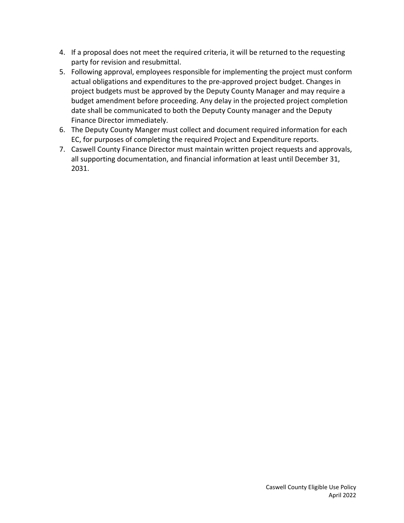- 4. If a proposal does not meet the required criteria, it will be returned to the requesting party for revision and resubmittal.
- 5. Following approval, employees responsible for implementing the project must conform actual obligations and expenditures to the pre-approved project budget. Changes in project budgets must be approved by the Deputy County Manager and may require a budget amendment before proceeding. Any delay in the projected project completion date shall be communicated to both the Deputy County manager and the Deputy Finance Director immediately.
- 6. The Deputy County Manger must collect and document required information for each EC, for purposes of completing the required Project and Expenditure reports.
- 7. Caswell County Finance Director must maintain written project requests and approvals, all supporting documentation, and financial information at least until December 31, 2031.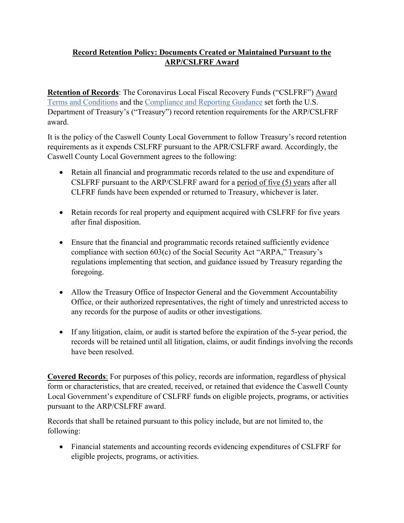### **Record Retention Policy: Documents Created or Maintained Pursuant to the ARP/CSLFRF Award**

**Retention of Records**: The Coronavirus Local Fiscal Recovery Funds ("CSLFRF") [Award](https://home.treasury.gov/system/files/136/NEU_Award_Terms_and_Conditions.pdf)  [Terms and Conditions](https://home.treasury.gov/system/files/136/NEU_Award_Terms_and_Conditions.pdf) and the [Compliance and Reporting Guidance](https://home.treasury.gov/system/files/136/SLFRF-Compliance-and-Reporting-Guidance.pdf) set forth the U.S. Department of Treasury's ("Treasury") record retention requirements for the ARP/CSLFRF award.

It is the policy of the Caswell County Local Government to follow Treasury's record retention requirements as it expends CSLFRF pursuant to the APR/CSLFRF award. Accordingly, the Caswell County Local Government agrees to the following:

- Retain all financial and programmatic records related to the use and expenditure of CSLFRF pursuant to the ARP/CSLFRF award for a period of five (5) years after all CLFRF funds have been expended or returned to Treasury, whichever is later.
- Retain records for real property and equipment acquired with CSLFRF for five years after final disposition.
- Ensure that the financial and programmatic records retained sufficiently evidence compliance with section 603(c) of the Social Security Act "ARPA," Treasury's regulations implementing that section, and guidance issued by Treasury regarding the foregoing.
- Allow the Treasury Office of Inspector General and the Government Accountability Office, or their authorized representatives, the right of timely and unrestricted access to any records for the purpose of audits or other investigations.
- If any litigation, claim, or audit is started before the expiration of the 5-year period, the records will be retained until all litigation, claims, or audit findings involving the records have been resolved.

**Covered Records**: For purposes of this policy, records are information, regardless of physical form or characteristics, that are created, received, or retained that evidence the Caswell County Local Government's expenditure of CSLFRF funds on eligible projects, programs, or activities pursuant to the ARP/CSLFRF award.

Records that shall be retained pursuant to this policy include, but are not limited to, the following:

• Financial statements and accounting records evidencing expenditures of CSLFRF for eligible projects, programs, or activities.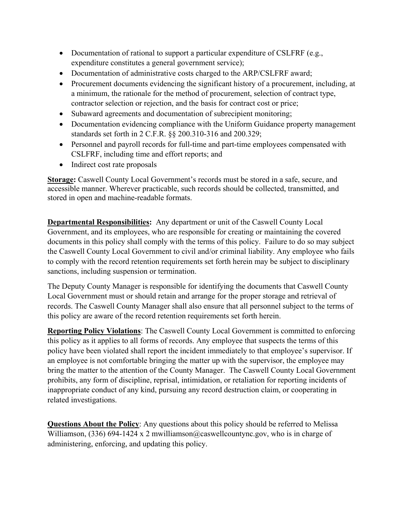- Documentation of rational to support a particular expenditure of CSLFRF (e.g., expenditure constitutes a general government service);
- Documentation of administrative costs charged to the ARP/CSLFRF award;
- Procurement documents evidencing the significant history of a procurement, including, at a minimum, the rationale for the method of procurement, selection of contract type, contractor selection or rejection, and the basis for contract cost or price;
- Subaward agreements and documentation of subrecipient monitoring;
- Documentation evidencing compliance with the Uniform Guidance property management standards set forth in 2 C.F.R. §§ 200.310-316 and 200.329;
- Personnel and payroll records for full-time and part-time employees compensated with CSLFRF, including time and effort reports; and
- Indirect cost rate proposals

**Storage:** Caswell County Local Government's records must be stored in a safe, secure, and accessible manner. Wherever practicable, such records should be collected, transmitted, and stored in open and machine-readable formats.

**Departmental Responsibilities:** Any department or unit of the Caswell County Local Government, and its employees, who are responsible for creating or maintaining the covered documents in this policy shall comply with the terms of this policy. Failure to do so may subject the Caswell County Local Government to civil and/or criminal liability. Any employee who fails to comply with the record retention requirements set forth herein may be subject to disciplinary sanctions, including suspension or termination.

The Deputy County Manager is responsible for identifying the documents that Caswell County Local Government must or should retain and arrange for the proper storage and retrieval of records. The Caswell County Manager shall also ensure that all personnel subject to the terms of this policy are aware of the record retention requirements set forth herein.

**Reporting Policy Violations**: The Caswell County Local Government is committed to enforcing this policy as it applies to all forms of records. Any employee that suspects the terms of this policy have been violated shall report the incident immediately to that employee's supervisor. If an employee is not comfortable bringing the matter up with the supervisor, the employee may bring the matter to the attention of the County Manager. The Caswell County Local Government prohibits, any form of discipline, reprisal, intimidation, or retaliation for reporting incidents of inappropriate conduct of any kind, pursuing any record destruction claim, or cooperating in related investigations.

**Questions About the Policy**: Any questions about this policy should be referred to Melissa Williamson,  $(336)$  694-1424 x 2 mwilliamson@caswellcountync.gov, who is in charge of administering, enforcing, and updating this policy.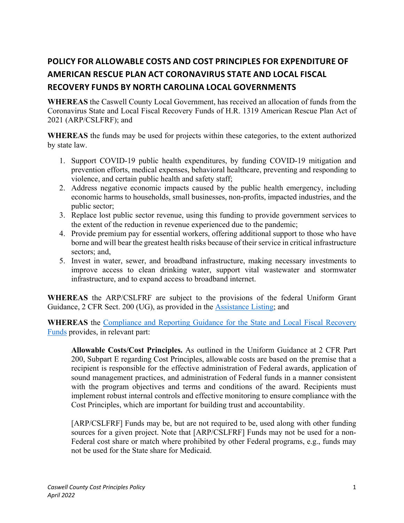# **POLICY FOR ALLOWABLE COSTS AND COST PRINCIPLES FOR EXPENDITURE OF AMERICAN RESCUE PLAN ACT CORONAVIRUS STATE AND LOCAL FISCAL RECOVERY FUNDS BY NORTH CAROLINA LOCAL GOVERNMENTS**

**WHEREAS** the Caswell County Local Government, has received an allocation of funds from the Coronavirus State and Local Fiscal Recovery Funds of H.R. 1319 American Rescue Plan Act of 2021 (ARP/CSLFRF); and

**WHEREAS** the funds may be used for projects within these categories, to the extent authorized by state law.

- 1. Support COVID-19 public health expenditures, by funding COVID-19 mitigation and prevention efforts, medical expenses, behavioral healthcare, preventing and responding to violence, and certain public health and safety staff;
- 2. Address negative economic impacts caused by the public health emergency, including economic harms to households, small businesses, non-profits, impacted industries, and the public sector;
- 3. Replace lost public sector revenue, using this funding to provide government services to the extent of the reduction in revenue experienced due to the pandemic;
- 4. Provide premium pay for essential workers, offering additional support to those who have borne and will bear the greatest health risks because of their service in critical infrastructure sectors; and,
- 5. Invest in water, sewer, and broadband infrastructure, making necessary investments to improve access to clean drinking water, support vital wastewater and stormwater infrastructure, and to expand access to broadband internet.

**WHEREAS** the ARP/CSLFRF are subject to the provisions of the federal Uniform Grant Guidance, 2 CFR Sect. 200 (UG), as provided in the [Assistance Listing;](https://sam.gov/fal/7cecfdef62dc42729a3fdcd449bd62b8/view) and

**WHEREAS** the [Compliance and Reporting Guidance for the State and Local Fiscal Recovery](https://home.treasury.gov/system/files/136/SLFRF-Compliance-and-Reporting-Guidance.pdf)  [Funds](https://home.treasury.gov/system/files/136/SLFRF-Compliance-and-Reporting-Guidance.pdf) provides, in relevant part:

**Allowable Costs/Cost Principles.** As outlined in the Uniform Guidance at 2 CFR Part 200, Subpart E regarding Cost Principles, allowable costs are based on the premise that a recipient is responsible for the effective administration of Federal awards, application of sound management practices, and administration of Federal funds in a manner consistent with the program objectives and terms and conditions of the award. Recipients must implement robust internal controls and effective monitoring to ensure compliance with the Cost Principles, which are important for building trust and accountability.

[ARP/CSLFRF] Funds may be, but are not required to be, used along with other funding sources for a given project. Note that [ARP/CSLFRF] Funds may not be used for a non-Federal cost share or match where prohibited by other Federal programs, e.g., funds may not be used for the State share for Medicaid.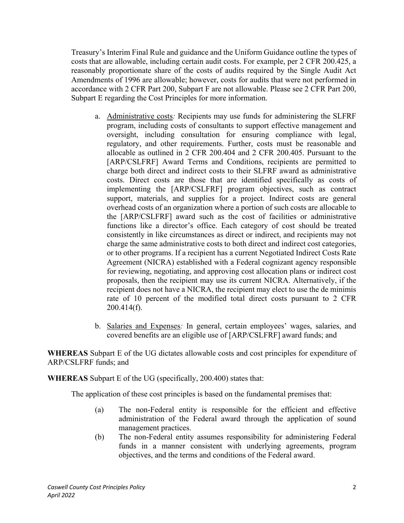Treasury's Interim Final Rule and guidance and the Uniform Guidance outline the types of costs that are allowable, including certain audit costs. For example, per 2 CFR 200.425, a reasonably proportionate share of the costs of audits required by the Single Audit Act Amendments of 1996 are allowable; however, costs for audits that were not performed in accordance with 2 CFR Part 200, Subpart F are not allowable. Please see 2 CFR Part 200, Subpart E regarding the Cost Principles for more information.

- a. Administrative costs*:* Recipients may use funds for administering the SLFRF program, including costs of consultants to support effective management and oversight, including consultation for ensuring compliance with legal, regulatory, and other requirements. Further, costs must be reasonable and allocable as outlined in 2 CFR 200.404 and 2 CFR 200.405. Pursuant to the [ARP/CSLFRF] Award Terms and Conditions, recipients are permitted to charge both direct and indirect costs to their SLFRF award as administrative costs. Direct costs are those that are identified specifically as costs of implementing the [ARP/CSLFRF] program objectives, such as contract support, materials, and supplies for a project. Indirect costs are general overhead costs of an organization where a portion of such costs are allocable to the [ARP/CSLFRF] award such as the cost of facilities or administrative functions like a director's office. Each category of cost should be treated consistently in like circumstances as direct or indirect, and recipients may not charge the same administrative costs to both direct and indirect cost categories, or to other programs. If a recipient has a current Negotiated Indirect Costs Rate Agreement (NICRA) established with a Federal cognizant agency responsible for reviewing, negotiating, and approving cost allocation plans or indirect cost proposals, then the recipient may use its current NICRA. Alternatively, if the recipient does not have a NICRA, the recipient may elect to use the de minimis rate of 10 percent of the modified total direct costs pursuant to 2 CFR 200.414(f).
- b. Salaries and Expenses*:* In general, certain employees' wages, salaries, and covered benefits are an eligible use of [ARP/CSLFRF] award funds; and

**WHEREAS** Subpart E of the UG dictates allowable costs and cost principles for expenditure of ARP/CSLFRF funds; and

**WHEREAS** Subpart E of the UG (specifically, 200.400) states that:

The application of these cost principles is based on the fundamental premises that:

- (a) The non-Federal entity is responsible for the efficient and effective administration of the Federal award through the application of sound management practices.
- (b) The non-Federal entity assumes responsibility for administering Federal funds in a manner consistent with underlying agreements, program objectives, and the terms and conditions of the Federal award.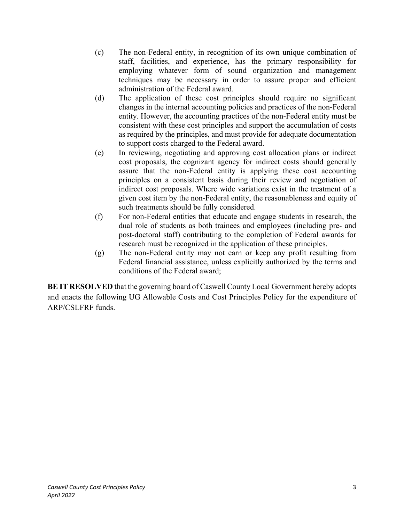- (c) The non-Federal entity, in recognition of its own unique combination of staff, facilities, and experience, has the primary responsibility for employing whatever form of sound organization and management techniques may be necessary in order to assure proper and efficient administration of the Federal award.
- (d) The application of these cost principles should require no significant changes in the internal accounting policies and practices of the non-Federal entity. However, the accounting practices of the non-Federal entity must be consistent with these cost principles and support the accumulation of costs as required by the principles, and must provide for adequate documentation to support costs charged to the Federal award.
- (e) In reviewing, negotiating and approving cost allocation plans or indirect cost proposals, the cognizant agency for indirect costs should generally assure that the non-Federal entity is applying these cost accounting principles on a consistent basis during their review and negotiation of indirect cost proposals. Where wide variations exist in the treatment of a given cost item by the non-Federal entity, the reasonableness and equity of such treatments should be fully considered.
- (f) For non-Federal entities that educate and engage students in research, the dual role of students as both trainees and employees (including pre- and post-doctoral staff) contributing to the completion of Federal awards for research must be recognized in the application of these principles.
- (g) The non-Federal entity may not earn or keep any profit resulting from Federal financial assistance, unless explicitly authorized by the terms and conditions of the Federal award;

**BE IT RESOLVED** that the governing board of Caswell County Local Government hereby adopts and enacts the following UG Allowable Costs and Cost Principles Policy for the expenditure of ARP/CSLFRF funds.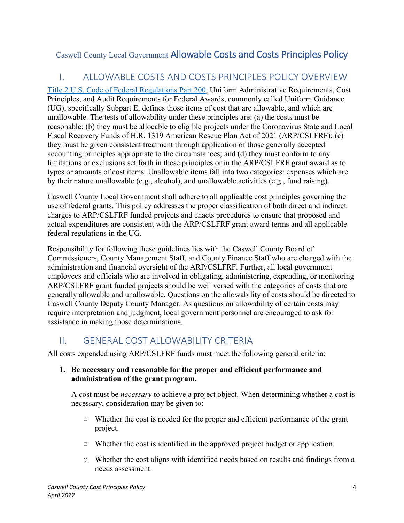# Caswell County Local Government Allowable Costs and Costs Principles Policy

# I. ALLOWABLE COSTS AND COSTS PRINCIPLES POLICY OVERVIEW

[Title 2 U.S. Code of Federal Regulations Part 200,](https://www.gpo.gov/fdsys/granule/CFR-2014-title2-vol1/CFR-2014-title2-vol1-part200/content-detail.html) Uniform Administrative Requirements, Cost Principles, and Audit Requirements for Federal Awards, commonly called Uniform Guidance (UG), specifically Subpart E, defines those items of cost that are allowable, and which are unallowable. The tests of allowability under these principles are: (a) the costs must be reasonable; (b) they must be allocable to eligible projects under the Coronavirus State and Local Fiscal Recovery Funds of H.R. 1319 American Rescue Plan Act of 2021 (ARP/CSLFRF); (c) they must be given consistent treatment through application of those generally accepted accounting principles appropriate to the circumstances; and (d) they must conform to any limitations or exclusions set forth in these principles or in the ARP/CSLFRF grant award as to types or amounts of cost items. Unallowable items fall into two categories: expenses which are by their nature unallowable (e.g., alcohol), and unallowable activities (e.g., fund raising).

Caswell County Local Government shall adhere to all applicable cost principles governing the use of federal grants. This policy addresses the proper classification of both direct and indirect charges to ARP/CSLFRF funded projects and enacts procedures to ensure that proposed and actual expenditures are consistent with the ARP/CSLFRF grant award terms and all applicable federal regulations in the UG.

Responsibility for following these guidelines lies with the Caswell County Board of Commissioners, County Management Staff, and County Finance Staff who are charged with the administration and financial oversight of the ARP/CSLFRF. Further, all local government employees and officials who are involved in obligating, administering, expending, or monitoring ARP/CSLFRF grant funded projects should be well versed with the categories of costs that are generally allowable and unallowable. Questions on the allowability of costs should be directed to Caswell County Deputy County Manager. As questions on allowability of certain costs may require interpretation and judgment, local government personnel are encouraged to ask for assistance in making those determinations.

# II. GENERAL COST ALLOWABILITY CRITERIA

All costs expended using ARP/CSLFRF funds must meet the following general criteria:

#### **1. Be necessary and reasonable for the proper and efficient performance and administration of the grant program.**

A cost must be *necessary* to achieve a project object. When determining whether a cost is necessary, consideration may be given to:

- Whether the cost is needed for the proper and efficient performance of the grant project.
- Whether the cost is identified in the approved project budget or application.
- Whether the cost aligns with identified needs based on results and findings from a needs assessment.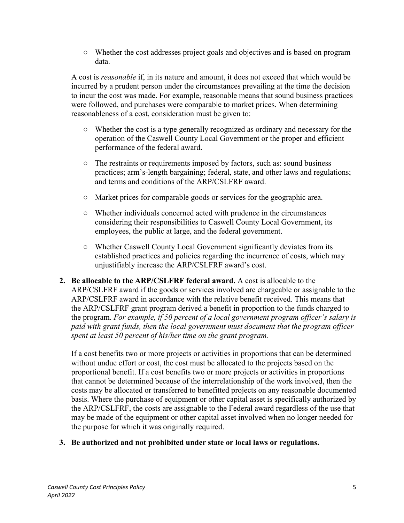○ Whether the cost addresses project goals and objectives and is based on program data.

A cost is *reasonable* if, in its nature and amount, it does not exceed that which would be incurred by a prudent person under the circumstances prevailing at the time the decision to incur the cost was made. For example, reasonable means that sound business practices were followed, and purchases were comparable to market prices. When determining reasonableness of a cost, consideration must be given to:

- Whether the cost is a type generally recognized as ordinary and necessary for the operation of the Caswell County Local Government or the proper and efficient performance of the federal award.
- The restraints or requirements imposed by factors, such as: sound business practices; arm's-length bargaining; federal, state, and other laws and regulations; and terms and conditions of the ARP/CSLFRF award.
- Market prices for comparable goods or services for the geographic area.
- Whether individuals concerned acted with prudence in the circumstances considering their responsibilities to Caswell County Local Government, its employees, the public at large, and the federal government.
- Whether Caswell County Local Government significantly deviates from its established practices and policies regarding the incurrence of costs, which may unjustifiably increase the ARP/CSLFRF award's cost.
- **2. Be allocable to the ARP/CSLFRF federal award.** A cost is allocable to the ARP/CSLFRF award if the goods or services involved are chargeable or assignable to the ARP/CSLFRF award in accordance with the relative benefit received. This means that the ARP/CSLFRF grant program derived a benefit in proportion to the funds charged to the program. *For example, if 50 percent of a local government program officer's salary is paid with grant funds, then the local government must document that the program officer spent at least 50 percent of his/her time on the grant program.*

If a cost benefits two or more projects or activities in proportions that can be determined without undue effort or cost, the cost must be allocated to the projects based on the proportional benefit. If a cost benefits two or more projects or activities in proportions that cannot be determined because of the interrelationship of the work involved, then the costs may be allocated or transferred to benefitted projects on any reasonable documented basis. Where the purchase of equipment or other capital asset is specifically authorized by the ARP/CSLFRF, the costs are assignable to the Federal award regardless of the use that may be made of the equipment or other capital asset involved when no longer needed for the purpose for which it was originally required.

**3. Be authorized and not prohibited under state or local laws or regulations.**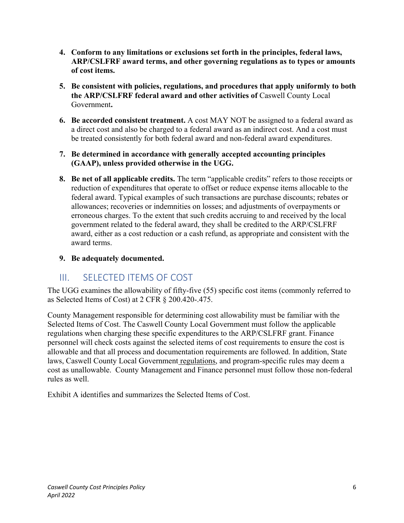- **4. Conform to any limitations or exclusions set forth in the principles, federal laws, ARP/CSLFRF award terms, and other governing regulations as to types or amounts of cost items.**
- **5. Be consistent with policies, regulations, and procedures that apply uniformly to both the ARP/CSLFRF federal award and other activities of** Caswell County Local Government**.**
- **6. Be accorded consistent treatment.** A cost MAY NOT be assigned to a federal award as a direct cost and also be charged to a federal award as an indirect cost. And a cost must be treated consistently for both federal award and non-federal award expenditures.
- **7. Be determined in accordance with generally accepted accounting principles (GAAP), unless provided otherwise in the UGG.**
- **8. Be net of all applicable credits.** The term "applicable credits" refers to those receipts or reduction of expenditures that operate to offset or reduce expense items allocable to the federal award. Typical examples of such transactions are purchase discounts; rebates or allowances; recoveries or indemnities on losses; and adjustments of overpayments or erroneous charges. To the extent that such credits accruing to and received by the local government related to the federal award, they shall be credited to the ARP/CSLFRF award, either as a cost reduction or a cash refund, as appropriate and consistent with the award terms.
- **9. Be adequately documented.**

# III. SELECTED ITEMS OF COST

The UGG examines the allowability of fifty-five (55) specific cost items (commonly referred to as Selected Items of Cost) at 2 CFR § 200.420-.475.

County Management responsible for determining cost allowability must be familiar with the Selected Items of Cost. The Caswell County Local Government must follow the applicable regulations when charging these specific expenditures to the ARP/CSLFRF grant. Finance personnel will check costs against the selected items of cost requirements to ensure the cost is allowable and that all process and documentation requirements are followed. In addition, State laws, Caswell County Local Government regulations, and program-specific rules may deem a cost as unallowable. County Management and Finance personnel must follow those non-federal rules as well.

Exhibit A identifies and summarizes the Selected Items of Cost.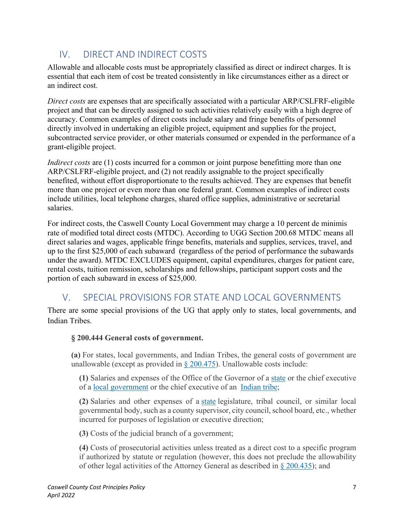# IV. DIRECT AND INDIRECT COSTS

Allowable and allocable costs must be appropriately classified as direct or indirect charges. It is essential that each item of cost be treated consistently in like circumstances either as a direct or an indirect cost.

*Direct costs* are expenses that are specifically associated with a particular ARP/CSLFRF-eligible project and that can be directly assigned to such activities relatively easily with a high degree of accuracy. Common examples of direct costs include salary and fringe benefits of personnel directly involved in undertaking an eligible project, equipment and supplies for the project, subcontracted service provider, or other materials consumed or expended in the performance of a grant-eligible project.

*Indirect costs* are (1) costs incurred for a common or joint purpose benefitting more than one ARP/CSLFRF-eligible project, and (2) not readily assignable to the project specifically benefited, without effort disproportionate to the results achieved. They are expenses that benefit more than one project or even more than one federal grant. Common examples of indirect costs include utilities, local telephone charges, shared office supplies, administrative or secretarial salaries.

For indirect costs, the Caswell County Local Government may charge a 10 percent de minimis rate of modified total direct costs (MTDC). According to UGG Section 200.68 MTDC means all direct salaries and wages, applicable fringe benefits, materials and supplies, services, travel, and up to the first \$25,000 of each subaward (regardless of the period of performance the subawards under the award). MTDC EXCLUDES equipment, capital expenditures, charges for patient care, rental costs, tuition remission, scholarships and fellowships, participant support costs and the portion of each subaward in excess of \$25,000.

# V. SPECIAL PROVISIONS FOR STATE AND LOCAL GOVERNMENTS

There are some special provisions of the UG that apply only to states, local governments, and Indian Tribes.

### **§ 200.444 General costs of government.**

**(a)** For states, local governments, and Indian Tribes, the general costs of government are unallowable (except as provided in  $\S 200.475$ ). Unallowable costs include:

**(1)** Salaries and expenses of the Office of the Governor of a [state](https://www.law.cornell.edu/definitions/index.php?width=840&height=800&iframe=true&def_id=3d66cac5fd675bfc76ede4888b240176&term_occur=999&term_src=Title:2:Subtitle:A:Chapter:II:Part:200:Subpart:E:Subjgrp:41:200.444) or the chief executive of a [local government](https://www.law.cornell.edu/definitions/index.php?width=840&height=800&iframe=true&def_id=2351077af91a56a86cf7de12032e8194&term_occur=999&term_src=Title:2:Subtitle:A:Chapter:II:Part:200:Subpart:E:Subjgrp:41:200.444) or the chief executive of an [Indian tribe;](https://www.law.cornell.edu/definitions/index.php?width=840&height=800&iframe=true&def_id=2f3422fdfc29b5b6e44d5a6de124a7d8&term_occur=999&term_src=Title:2:Subtitle:A:Chapter:II:Part:200:Subpart:E:Subjgrp:41:200.444)

**(2)** Salaries and other expenses of a [state](https://www.law.cornell.edu/definitions/index.php?width=840&height=800&iframe=true&def_id=3d66cac5fd675bfc76ede4888b240176&term_occur=999&term_src=Title:2:Subtitle:A:Chapter:II:Part:200:Subpart:E:Subjgrp:41:200.444) legislature, tribal council, or similar local governmental body, such as a county supervisor, city council, school board, etc., whether incurred for purposes of legislation or executive direction;

**(3)** Costs of the judicial branch of a government;

**(4)** Costs of prosecutorial activities unless treated as a direct cost to a specific program if authorized by statute or regulation (however, this does not preclude the allowability of other legal activities of the Attorney General as described in [§ 200.435\)](https://www.law.cornell.edu/cfr/text/2/200.435); and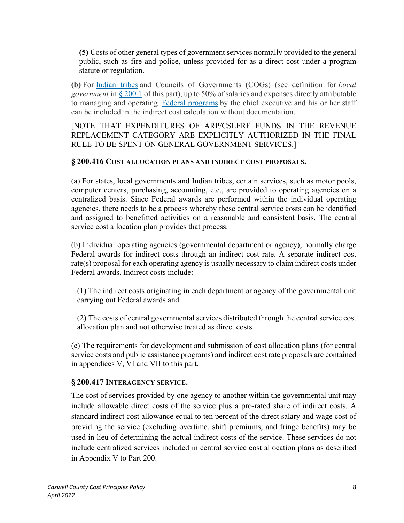**(5)** Costs of other general types of government services normally provided to the general public, such as fire and police, unless provided for as a direct cost under a program statute or regulation.

**(b)** For [Indian tribes](https://www.law.cornell.edu/definitions/index.php?width=840&height=800&iframe=true&def_id=2f3422fdfc29b5b6e44d5a6de124a7d8&term_occur=999&term_src=Title:2:Subtitle:A:Chapter:II:Part:200:Subpart:E:Subjgrp:41:200.444) and Councils of Governments (COGs) (see definition for *Local government* in [§ 200.1](https://www.law.cornell.edu/cfr/text/2/200.1) of this part), up to 50% of salaries and expenses directly attributable to managing and operating [Federal programs](https://www.law.cornell.edu/definitions/index.php?width=840&height=800&iframe=true&def_id=7cbd32c5c688475f8e11a278f7b64299&term_occur=999&term_src=Title:2:Subtitle:A:Chapter:II:Part:200:Subpart:E:Subjgrp:41:200.444) by the chief executive and his or her staff can be included in the indirect cost calculation without documentation.

[NOTE THAT EXPENDITURES OF ARP/CSLFRF FUNDS IN THE REVENUE REPLACEMENT CATEGORY ARE EXPLICITLY AUTHORIZED IN THE FINAL RULE TO BE SPENT ON GENERAL GOVERNMENT SERVICES.]

#### **§ 200.416 COST ALLOCATION PLANS AND INDIRECT COST PROPOSALS.**

(a) For states, local governments and Indian tribes, certain services, such as motor pools, computer centers, purchasing, accounting, etc., are provided to operating agencies on a centralized basis. Since Federal awards are performed within the individual operating agencies, there needs to be a process whereby these central service costs can be identified and assigned to benefitted activities on a reasonable and consistent basis. The central service cost allocation plan provides that process.

(b) Individual operating agencies (governmental department or agency), normally charge Federal awards for indirect costs through an indirect cost rate. A separate indirect cost rate(s) proposal for each operating agency is usually necessary to claim indirect costs under Federal awards. Indirect costs include:

(1) The indirect costs originating in each department or agency of the governmental unit carrying out Federal awards and

(2) The costs of central governmental services distributed through the central service cost allocation plan and not otherwise treated as direct costs.

(c) The requirements for development and submission of cost allocation plans (for central service costs and public assistance programs) and indirect cost rate proposals are contained in appendices V, VI and VII to this part.

#### **§ 200.417 INTERAGENCY SERVICE.**

The cost of services provided by one agency to another within the governmental unit may include allowable direct costs of the service plus a pro-rated share of indirect costs. A standard indirect cost allowance equal to ten percent of the direct salary and wage cost of providing the service (excluding overtime, shift premiums, and fringe benefits) may be used in lieu of determining the actual indirect costs of the service. These services do not include centralized services included in central service cost allocation plans as described in Appendix V to Part 200.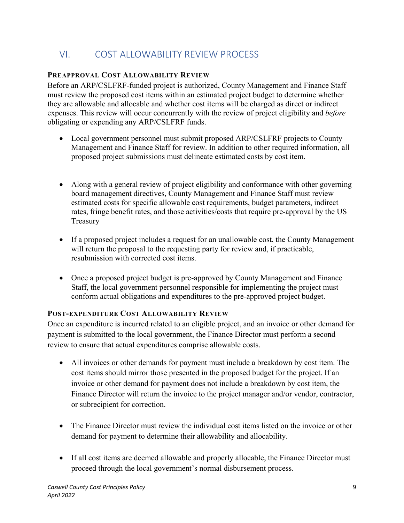# VI. COST ALLOWABILITY REVIEW PROCESS

### **PREAPPROVAL COST ALLOWABILITY REVIEW**

Before an ARP/CSLFRF-funded project is authorized, County Management and Finance Staff must review the proposed cost items within an estimated project budget to determine whether they are allowable and allocable and whether cost items will be charged as direct or indirect expenses. This review will occur concurrently with the review of project eligibility and *before*  obligating or expending any ARP/CSLFRF funds.

- Local government personnel must submit proposed ARP/CSLFRF projects to County Management and Finance Staff for review. In addition to other required information, all proposed project submissions must delineate estimated costs by cost item.
- Along with a general review of project eligibility and conformance with other governing board management directives, County Management and Finance Staff must review estimated costs for specific allowable cost requirements, budget parameters, indirect rates, fringe benefit rates, and those activities/costs that require pre-approval by the US Treasury
- If a proposed project includes a request for an unallowable cost, the County Management will return the proposal to the requesting party for review and, if practicable, resubmission with corrected cost items.
- Once a proposed project budget is pre-approved by County Management and Finance Staff, the local government personnel responsible for implementing the project must conform actual obligations and expenditures to the pre-approved project budget.

### **POST-EXPENDITURE COST ALLOWABILITY REVIEW**

Once an expenditure is incurred related to an eligible project, and an invoice or other demand for payment is submitted to the local government, the Finance Director must perform a second review to ensure that actual expenditures comprise allowable costs.

- All invoices or other demands for payment must include a breakdown by cost item. The cost items should mirror those presented in the proposed budget for the project. If an invoice or other demand for payment does not include a breakdown by cost item, the Finance Director will return the invoice to the project manager and/or vendor, contractor, or subrecipient for correction.
- The Finance Director must review the individual cost items listed on the invoice or other demand for payment to determine their allowability and allocability.
- If all cost items are deemed allowable and properly allocable, the Finance Director must proceed through the local government's normal disbursement process.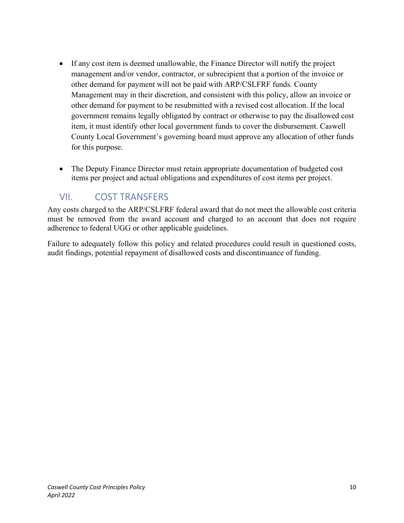- If any cost item is deemed unallowable, the Finance Director will notify the project management and/or vendor, contractor, or subrecipient that a portion of the invoice or other demand for payment will not be paid with ARP/CSLFRF funds. County Management may in their discretion, and consistent with this policy, allow an invoice or other demand for payment to be resubmitted with a revised cost allocation. If the local government remains legally obligated by contract or otherwise to pay the disallowed cost item, it must identify other local government funds to cover the disbursement. Caswell County Local Government's governing board must approve any allocation of other funds for this purpose.
- The Deputy Finance Director must retain appropriate documentation of budgeted cost items per project and actual obligations and expenditures of cost items per project.

# VII. COST TRANSFERS

Any costs charged to the ARP/CSLFRF federal award that do not meet the allowable cost criteria must be removed from the award account and charged to an account that does not require adherence to federal UGG or other applicable guidelines.

Failure to adequately follow this policy and related procedures could result in questioned costs, audit findings, potential repayment of disallowed costs and discontinuance of funding.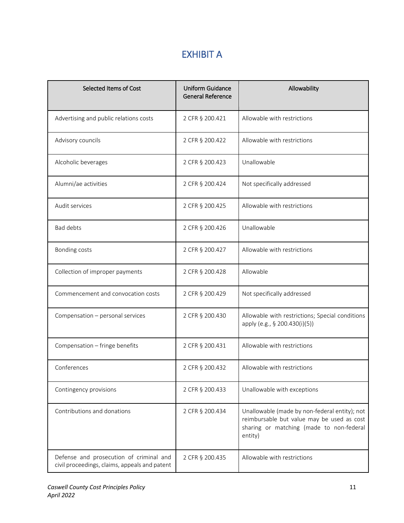# EXHIBIT A

| Selected Items of Cost                                                                   | <b>Uniform Guidance</b><br><b>General Reference</b> | Allowability                                                                                                                                       |
|------------------------------------------------------------------------------------------|-----------------------------------------------------|----------------------------------------------------------------------------------------------------------------------------------------------------|
| Advertising and public relations costs                                                   | 2 CFR § 200.421                                     | Allowable with restrictions                                                                                                                        |
| Advisory councils                                                                        | 2 CFR § 200.422                                     | Allowable with restrictions                                                                                                                        |
| Alcoholic beverages                                                                      | 2 CFR § 200.423                                     | Unallowable                                                                                                                                        |
| Alumni/ae activities                                                                     | 2 CFR § 200.424                                     | Not specifically addressed                                                                                                                         |
| Audit services                                                                           | 2 CFR § 200.425                                     | Allowable with restrictions                                                                                                                        |
| <b>Bad debts</b>                                                                         | 2 CFR § 200.426                                     | Unallowable                                                                                                                                        |
| Bonding costs                                                                            | 2 CFR § 200.427                                     | Allowable with restrictions                                                                                                                        |
| Collection of improper payments                                                          | 2 CFR § 200.428                                     | Allowable                                                                                                                                          |
| Commencement and convocation costs                                                       | 2 CFR § 200.429                                     | Not specifically addressed                                                                                                                         |
| Compensation - personal services                                                         | 2 CFR § 200.430                                     | Allowable with restrictions; Special conditions<br>apply (e.g., § 200.430(i)(5))                                                                   |
| Compensation - fringe benefits                                                           | 2 CFR § 200.431                                     | Allowable with restrictions                                                                                                                        |
| Conferences                                                                              | 2 CFR § 200.432                                     | Allowable with restrictions                                                                                                                        |
| Contingency provisions                                                                   | 2 CFR § 200.433                                     | Unallowable with exceptions                                                                                                                        |
| Contributions and donations                                                              | 2 CFR § 200.434                                     | Unallowable (made by non-federal entity); not<br>reimbursable but value may be used as cost<br>sharing or matching (made to non-federal<br>entity) |
| Defense and prosecution of criminal and<br>civil proceedings, claims, appeals and patent | 2 CFR § 200.435                                     | Allowable with restrictions                                                                                                                        |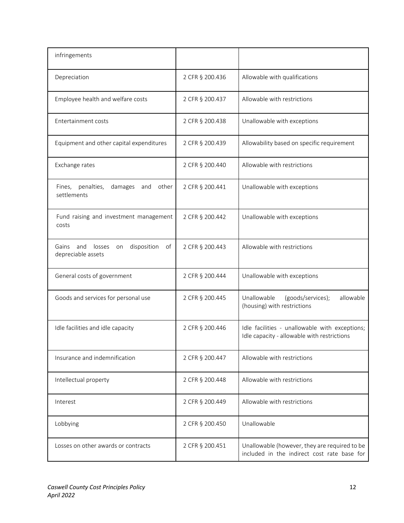| infringements                                                           |                 |                                                                                               |
|-------------------------------------------------------------------------|-----------------|-----------------------------------------------------------------------------------------------|
| Depreciation                                                            | 2 CFR § 200.436 | Allowable with qualifications                                                                 |
| Employee health and welfare costs                                       | 2 CFR § 200.437 | Allowable with restrictions                                                                   |
| Entertainment costs                                                     | 2 CFR § 200.438 | Unallowable with exceptions                                                                   |
| Equipment and other capital expenditures                                | 2 CFR § 200.439 | Allowability based on specific requirement                                                    |
| Exchange rates                                                          | 2 CFR § 200.440 | Allowable with restrictions                                                                   |
| Fines, penalties,<br>other<br>damages<br>and<br>settlements             | 2 CFR § 200.441 | Unallowable with exceptions                                                                   |
| Fund raising and investment management<br>costs                         | 2 CFR § 200.442 | Unallowable with exceptions                                                                   |
| losses<br>disposition<br>of<br>Gains<br>and<br>on<br>depreciable assets | 2 CFR § 200.443 | Allowable with restrictions                                                                   |
| General costs of government                                             | 2 CFR § 200.444 | Unallowable with exceptions                                                                   |
| Goods and services for personal use                                     | 2 CFR § 200.445 | allowable<br>Unallowable<br>(goods/services);<br>(housing) with restrictions                  |
| Idle facilities and idle capacity                                       | 2 CFR § 200.446 | Idle facilities - unallowable with exceptions;<br>Idle capacity - allowable with restrictions |
| Insurance and indemnification                                           | 2 CFR § 200.447 | Allowable with restrictions                                                                   |
| Intellectual property                                                   | 2 CFR § 200.448 | Allowable with restrictions                                                                   |
| Interest                                                                | 2 CFR § 200.449 | Allowable with restrictions                                                                   |
| Lobbying                                                                | 2 CFR § 200.450 | Unallowable                                                                                   |
| Losses on other awards or contracts                                     | 2 CFR § 200.451 | Unallowable (however, they are required to be<br>included in the indirect cost rate base for  |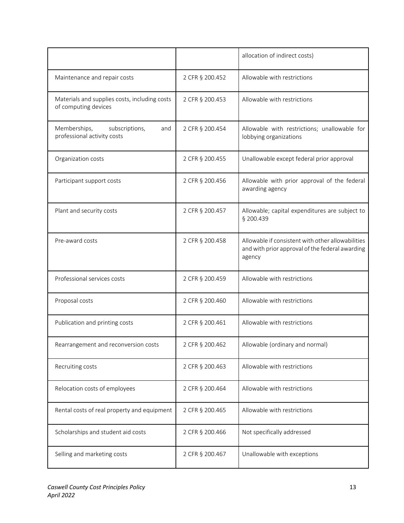|                                                                       |                 | allocation of indirect costs)                                                                                  |
|-----------------------------------------------------------------------|-----------------|----------------------------------------------------------------------------------------------------------------|
| Maintenance and repair costs                                          | 2 CFR § 200.452 | Allowable with restrictions                                                                                    |
| Materials and supplies costs, including costs<br>of computing devices | 2 CFR § 200.453 | Allowable with restrictions                                                                                    |
| Memberships,<br>subscriptions,<br>and<br>professional activity costs  | 2 CFR § 200.454 | Allowable with restrictions; unallowable for<br>lobbying organizations                                         |
| Organization costs                                                    | 2 CFR § 200.455 | Unallowable except federal prior approval                                                                      |
| Participant support costs                                             | 2 CFR § 200.456 | Allowable with prior approval of the federal<br>awarding agency                                                |
| Plant and security costs                                              | 2 CFR § 200.457 | Allowable; capital expenditures are subject to<br>§ 200.439                                                    |
| Pre-award costs                                                       | 2 CFR § 200.458 | Allowable if consistent with other allowabilities<br>and with prior approval of the federal awarding<br>agency |
| Professional services costs                                           | 2 CFR § 200.459 | Allowable with restrictions                                                                                    |
| Proposal costs                                                        | 2 CFR § 200.460 | Allowable with restrictions                                                                                    |
| Publication and printing costs                                        | 2 CFR § 200.461 | Allowable with restrictions                                                                                    |
| Rearrangement and reconversion costs                                  | 2 CFR § 200.462 | Allowable (ordinary and normal)                                                                                |
| Recruiting costs                                                      | 2 CFR § 200.463 | Allowable with restrictions                                                                                    |
| Relocation costs of employees                                         | 2 CFR § 200.464 | Allowable with restrictions                                                                                    |
| Rental costs of real property and equipment                           | 2 CFR § 200.465 | Allowable with restrictions                                                                                    |
| Scholarships and student aid costs                                    | 2 CFR § 200.466 | Not specifically addressed                                                                                     |
| Selling and marketing costs                                           | 2 CFR § 200.467 | Unallowable with exceptions                                                                                    |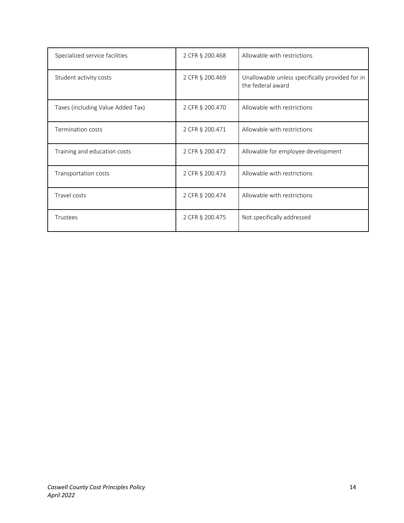| Specialized service facilities    | 2 CFR § 200.468 | Allowable with restrictions                                          |
|-----------------------------------|-----------------|----------------------------------------------------------------------|
| Student activity costs            | 2 CFR § 200.469 | Unallowable unless specifically provided for in<br>the federal award |
| Taxes (including Value Added Tax) | 2 CFR § 200.470 | Allowable with restrictions                                          |
| Termination costs                 | 2 CFR § 200.471 | Allowable with restrictions                                          |
| Training and education costs      | 2 CFR § 200.472 | Allowable for employee development                                   |
| Transportation costs              | 2 CFR § 200.473 | Allowable with restrictions                                          |
| Travel costs                      | 2 CFR § 200.474 | Allowable with restrictions                                          |
| Trustees                          | 2 CFR § 200.475 | Not specifically addressed                                           |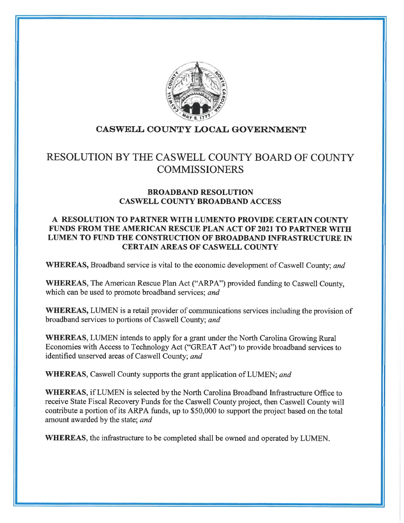

## CASWELL COUNTY LOCAL GOVERNMENT

# RESOLUTION BY THE CASWELL COUNTY BOARD OF COUNTY **COMMISSIONERS**

#### **BROADBAND RESOLUTION CASWELL COUNTY BROADBAND ACCESS**

#### A RESOLUTION TO PARTNER WITH LUMENTO PROVIDE CERTAIN COUNTY **FUNDS FROM THE AMERICAN RESCUE PLAN ACT OF 2021 TO PARTNER WITH** LUMEN TO FUND THE CONSTRUCTION OF BROADBAND INFRASTRUCTURE IN **CERTAIN AREAS OF CASWELL COUNTY**

**WHEREAS, Broadband service is vital to the economic development of Caswell County; and** 

WHEREAS, The American Rescue Plan Act ("ARPA") provided funding to Caswell County, which can be used to promote broadband services; and

**WHEREAS, LUMEN** is a retail provider of communications services including the provision of broadband services to portions of Caswell County; and

WHEREAS, LUMEN intends to apply for a grant under the North Carolina Growing Rural Economies with Access to Technology Act ("GREAT Act") to provide broadband services to identified unserved areas of Caswell County; and

**WHEREAS, Caswell County supports the grant application of LUMEN; and** 

**WHEREAS, if LUMEN** is selected by the North Carolina Broadband Infrastructure Office to receive State Fiscal Recovery Funds for the Caswell County project, then Caswell County will contribute a portion of its ARPA funds, up to \$50,000 to support the project based on the total amount awarded by the state; and

**WHEREAS**, the infrastructure to be completed shall be owned and operated by LUMEN.